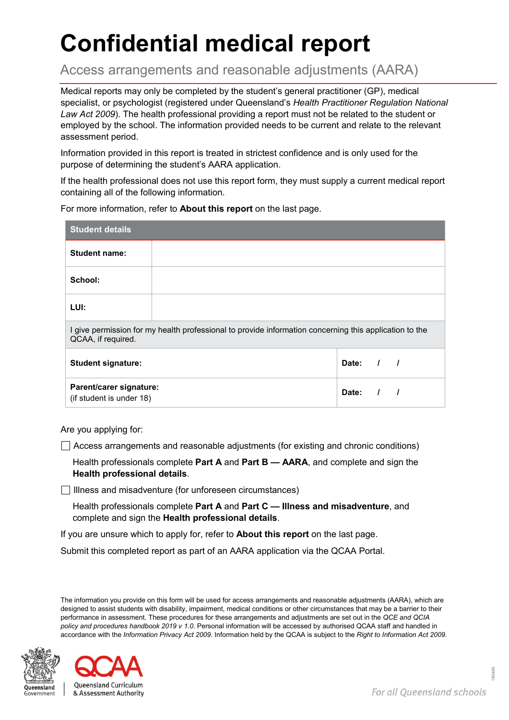# **Confidential medical report**

Access arrangements and reasonable adjustments (AARA)

Medical reports may only be completed by the student's general practitioner (GP), medical specialist, or psychologist (registered under Queensland's *Health Practitioner Regulation National Law Act 2009*). The health professional providing a report must not be related to the student or employed by the school. The information provided needs to be current and relate to the relevant assessment period.

Information provided in this report is treated in strictest confidence and is only used for the purpose of determining the student's AARA application.

If the health professional does not use this report form, they must supply a current medical report containing all of the following information.

For more information, refer to **About this report** on the last page.

| <b>Student details</b>                                                                                                     |  |             |  |  |  |
|----------------------------------------------------------------------------------------------------------------------------|--|-------------|--|--|--|
| <b>Student name:</b>                                                                                                       |  |             |  |  |  |
| School:                                                                                                                    |  |             |  |  |  |
| LUI:                                                                                                                       |  |             |  |  |  |
| give permission for my health professional to provide information concerning this application to the<br>QCAA, if required. |  |             |  |  |  |
| <b>Student signature:</b>                                                                                                  |  | Date: $/$ / |  |  |  |
| Parent/carer signature:<br>(if student is under 18)                                                                        |  | Date:       |  |  |  |

Are you applying for:

 $\Box$  Access arrangements and reasonable adjustments (for existing and chronic conditions)

Health professionals complete **Part A** and **Part B — AARA**, and complete and sign the **Health professional details**.

 $\Box$  Illness and misadventure (for unforeseen circumstances)

Health professionals complete **Part A** and **Part C — Illness and misadventure**, and complete and sign the **Health professional details**.

If you are unsure which to apply for, refer to **About this report** on the last page.

Submit this completed report as part of an AARA application via the QCAA Portal.

The information you provide on this form will be used for access arrangements and reasonable adjustments (AARA), which are designed to assist students with disability, impairment, medical conditions or other circumstances that may be a barrier to their performance in assessment. These procedures for these arrangements and adjustments are set out in the *QCE and QCIA policy and procedures handbook 2019 v 1.0*. Personal information will be accessed by authorised QCAA staff and handled in accordance with the *Information Privacy Act 2009*. Information held by the QCAA is subject to the *Right to Information Act 2009.*



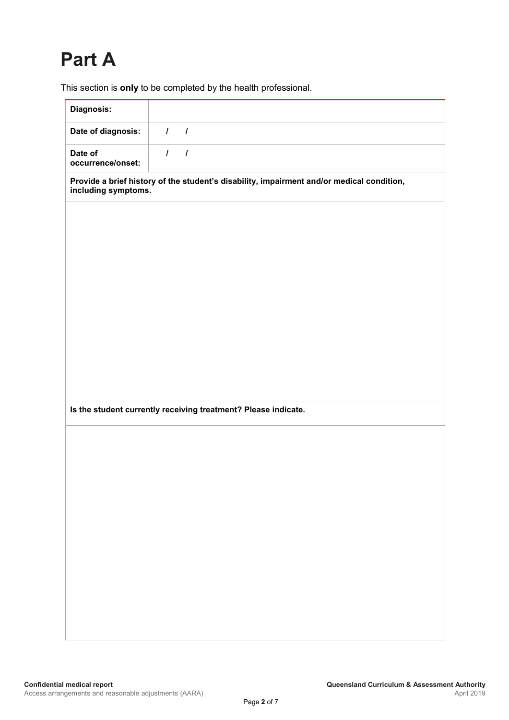# **Part A**

This section is **only** to be completed by the health professional.

| Diagnosis:                                                                                                       |          |                |  |  |  |  |
|------------------------------------------------------------------------------------------------------------------|----------|----------------|--|--|--|--|
| Date of diagnosis:                                                                                               | $\prime$ | $\overline{1}$ |  |  |  |  |
| Date of<br>occurrence/onset:                                                                                     | $\prime$ | $\overline{I}$ |  |  |  |  |
| Provide a brief history of the student's disability, impairment and/or medical condition,<br>including symptoms. |          |                |  |  |  |  |
|                                                                                                                  |          |                |  |  |  |  |
|                                                                                                                  |          |                |  |  |  |  |
|                                                                                                                  |          |                |  |  |  |  |
|                                                                                                                  |          |                |  |  |  |  |
|                                                                                                                  |          |                |  |  |  |  |
|                                                                                                                  |          |                |  |  |  |  |
|                                                                                                                  |          |                |  |  |  |  |
|                                                                                                                  |          |                |  |  |  |  |
|                                                                                                                  |          |                |  |  |  |  |
|                                                                                                                  |          |                |  |  |  |  |
| Is the student currently receiving treatment? Please indicate.                                                   |          |                |  |  |  |  |
|                                                                                                                  |          |                |  |  |  |  |
|                                                                                                                  |          |                |  |  |  |  |
|                                                                                                                  |          |                |  |  |  |  |
|                                                                                                                  |          |                |  |  |  |  |
|                                                                                                                  |          |                |  |  |  |  |
|                                                                                                                  |          |                |  |  |  |  |
|                                                                                                                  |          |                |  |  |  |  |
|                                                                                                                  |          |                |  |  |  |  |
|                                                                                                                  |          |                |  |  |  |  |
|                                                                                                                  |          |                |  |  |  |  |
|                                                                                                                  |          |                |  |  |  |  |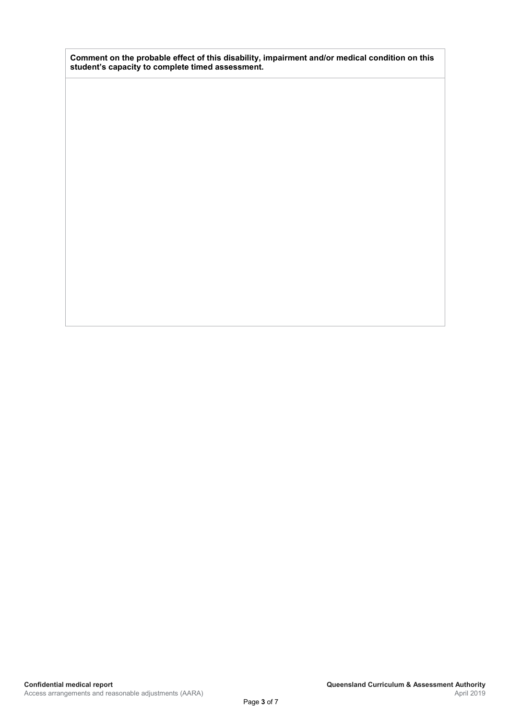**Comment on the probable effect of this disability, impairment and/or medical condition on this student's capacity to complete timed assessment.**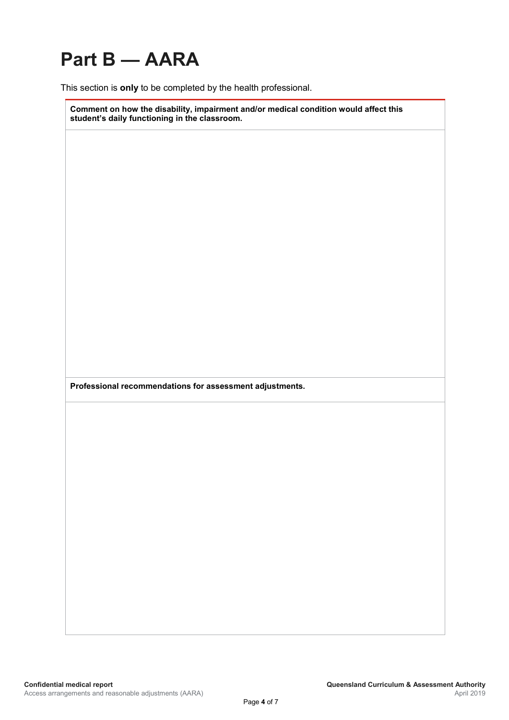# **Part B — AARA**

This section is **only** to be completed by the health professional.

**Comment on how the disability, impairment and/or medical condition would affect this student's daily functioning in the classroom.**

**Professional recommendations for assessment adjustments.**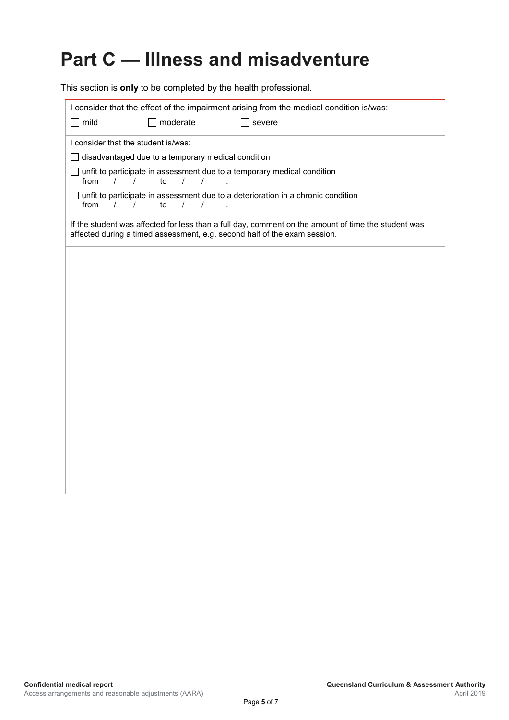# **Part C — Illness and misadventure**

This section is **only** to be completed by the health professional.

| I consider that the effect of the impairment arising from the medical condition is/was:                                                                                          |  |  |  |  |  |  |
|----------------------------------------------------------------------------------------------------------------------------------------------------------------------------------|--|--|--|--|--|--|
| mild<br>moderate<br>severe                                                                                                                                                       |  |  |  |  |  |  |
| I consider that the student is/was:                                                                                                                                              |  |  |  |  |  |  |
| disadvantaged due to a temporary medical condition                                                                                                                               |  |  |  |  |  |  |
| unfit to participate in assessment due to a temporary medical condition<br>from<br>$\sqrt{ }$<br>$\frac{1}{2}$<br>to<br>$\sqrt{ }$                                               |  |  |  |  |  |  |
| unfit to participate in assessment due to a deterioration in a chronic condition<br>from<br>to<br>$\prime$<br>$\prime$<br>$\prime$<br>$\prime$                                   |  |  |  |  |  |  |
| If the student was affected for less than a full day, comment on the amount of time the student was<br>affected during a timed assessment, e.g. second half of the exam session. |  |  |  |  |  |  |
|                                                                                                                                                                                  |  |  |  |  |  |  |
|                                                                                                                                                                                  |  |  |  |  |  |  |
|                                                                                                                                                                                  |  |  |  |  |  |  |
|                                                                                                                                                                                  |  |  |  |  |  |  |
|                                                                                                                                                                                  |  |  |  |  |  |  |
|                                                                                                                                                                                  |  |  |  |  |  |  |
|                                                                                                                                                                                  |  |  |  |  |  |  |
|                                                                                                                                                                                  |  |  |  |  |  |  |
|                                                                                                                                                                                  |  |  |  |  |  |  |
|                                                                                                                                                                                  |  |  |  |  |  |  |
|                                                                                                                                                                                  |  |  |  |  |  |  |
|                                                                                                                                                                                  |  |  |  |  |  |  |
|                                                                                                                                                                                  |  |  |  |  |  |  |
|                                                                                                                                                                                  |  |  |  |  |  |  |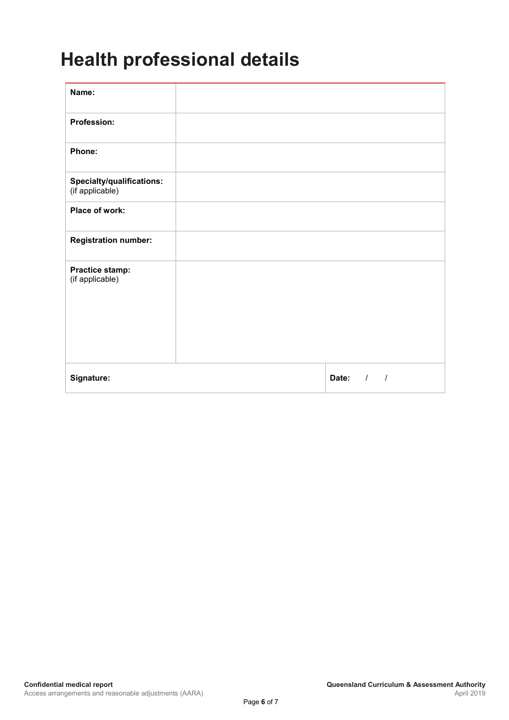### **Health professional details**

| Name:                                        |                                 |
|----------------------------------------------|---------------------------------|
| Profession:                                  |                                 |
| Phone:                                       |                                 |
| Specialty/qualifications:<br>(if applicable) |                                 |
| Place of work:                               |                                 |
| <b>Registration number:</b>                  |                                 |
| <b>Practice stamp:</b><br>(if applicable)    |                                 |
| Signature:                                   | Date:<br>$\sqrt{ }$<br>$\prime$ |